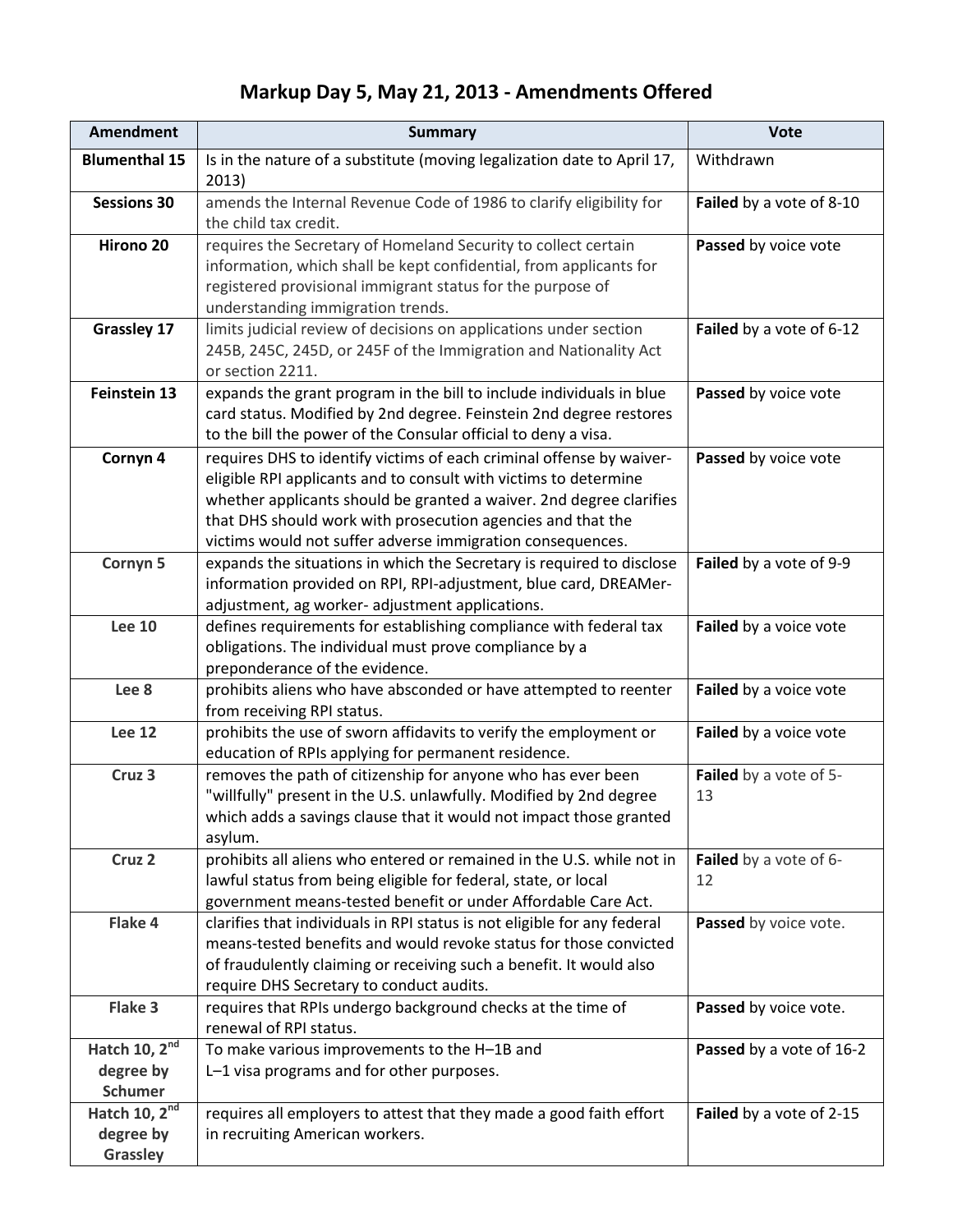## **Markup Day 5, May 21, 2013 - Amendments Offered**

| <b>Amendment</b>                                         | <b>Summary</b>                                                                                                                                                                                                                                                                                                                               | <b>Vote</b>                  |
|----------------------------------------------------------|----------------------------------------------------------------------------------------------------------------------------------------------------------------------------------------------------------------------------------------------------------------------------------------------------------------------------------------------|------------------------------|
| <b>Blumenthal 15</b>                                     | Is in the nature of a substitute (moving legalization date to April 17,<br>2013)                                                                                                                                                                                                                                                             | Withdrawn                    |
| <b>Sessions 30</b>                                       | amends the Internal Revenue Code of 1986 to clarify eligibility for<br>the child tax credit.                                                                                                                                                                                                                                                 | Failed by a vote of 8-10     |
| Hirono <sub>20</sub>                                     | requires the Secretary of Homeland Security to collect certain<br>information, which shall be kept confidential, from applicants for<br>registered provisional immigrant status for the purpose of<br>understanding immigration trends.                                                                                                      | Passed by voice vote         |
| <b>Grassley 17</b>                                       | limits judicial review of decisions on applications under section<br>245B, 245C, 245D, or 245F of the Immigration and Nationality Act<br>or section 2211.                                                                                                                                                                                    | Failed by a vote of 6-12     |
| Feinstein 13                                             | expands the grant program in the bill to include individuals in blue<br>card status. Modified by 2nd degree. Feinstein 2nd degree restores<br>to the bill the power of the Consular official to deny a visa.                                                                                                                                 | Passed by voice vote         |
| Cornyn <sub>4</sub>                                      | requires DHS to identify victims of each criminal offense by waiver-<br>eligible RPI applicants and to consult with victims to determine<br>whether applicants should be granted a waiver. 2nd degree clarifies<br>that DHS should work with prosecution agencies and that the<br>victims would not suffer adverse immigration consequences. | Passed by voice vote         |
| Cornyn <sub>5</sub>                                      | expands the situations in which the Secretary is required to disclose<br>information provided on RPI, RPI-adjustment, blue card, DREAMer-<br>adjustment, ag worker- adjustment applications.                                                                                                                                                 | Failed by a vote of 9-9      |
| <b>Lee 10</b>                                            | defines requirements for establishing compliance with federal tax<br>obligations. The individual must prove compliance by a<br>preponderance of the evidence.                                                                                                                                                                                | Failed by a voice vote       |
| Lee <sub>8</sub>                                         | prohibits aliens who have absconded or have attempted to reenter<br>from receiving RPI status.                                                                                                                                                                                                                                               | Failed by a voice vote       |
| <b>Lee 12</b>                                            | prohibits the use of sworn affidavits to verify the employment or<br>education of RPIs applying for permanent residence.                                                                                                                                                                                                                     | Failed by a voice vote       |
| Cruz <sub>3</sub>                                        | removes the path of citizenship for anyone who has ever been<br>"willfully" present in the U.S. unlawfully. Modified by 2nd degree<br>which adds a savings clause that it would not impact those granted<br>asylum.                                                                                                                          | Failed by a vote of 5-<br>13 |
| Cruz <sub>2</sub>                                        | prohibits all aliens who entered or remained in the U.S. while not in<br>lawful status from being eligible for federal, state, or local<br>government means-tested benefit or under Affordable Care Act.                                                                                                                                     | Failed by a vote of 6-<br>12 |
| Flake 4                                                  | clarifies that individuals in RPI status is not eligible for any federal<br>means-tested benefits and would revoke status for those convicted<br>of fraudulently claiming or receiving such a benefit. It would also<br>require DHS Secretary to conduct audits.                                                                             | Passed by voice vote.        |
| Flake 3                                                  | requires that RPIs undergo background checks at the time of<br>renewal of RPI status.                                                                                                                                                                                                                                                        | Passed by voice vote.        |
| Hatch 10, 2 <sup>nd</sup><br>degree by<br><b>Schumer</b> | To make various improvements to the H-1B and<br>L-1 visa programs and for other purposes.                                                                                                                                                                                                                                                    | Passed by a vote of 16-2     |
| Hatch $10, 2nd$<br>degree by<br>Grassley                 | requires all employers to attest that they made a good faith effort<br>in recruiting American workers.                                                                                                                                                                                                                                       | Failed by a vote of 2-15     |